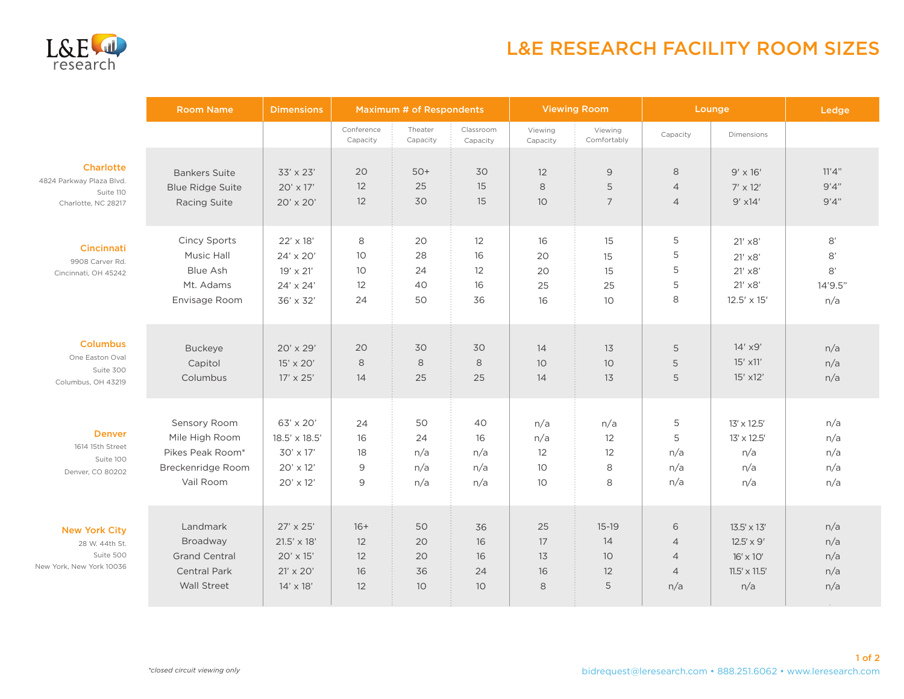

## L&E RESEARCH FACILITY ROOM SIZES

|                                                                                  | <b>Room Name</b>                                                                     | <b>Dimensions</b>                                                                           | <b>Maximum # of Respondents</b> |                               | <b>Viewing Room</b>           |                                           | Lounge                                      |                                                                | Ledge                                                                                      |                                    |
|----------------------------------------------------------------------------------|--------------------------------------------------------------------------------------|---------------------------------------------------------------------------------------------|---------------------------------|-------------------------------|-------------------------------|-------------------------------------------|---------------------------------------------|----------------------------------------------------------------|--------------------------------------------------------------------------------------------|------------------------------------|
|                                                                                  |                                                                                      |                                                                                             | Conference<br>Capacity          | Theater<br>Capacity           | Classroom<br>Capacity         | Viewing<br>Capacity                       | Viewing<br>Comfortably                      | Capacity                                                       | Dimensions                                                                                 |                                    |
| <b>Charlotte</b><br>4824 Parkway Plaza Blvd.<br>Suite 110<br>Charlotte, NC 28217 | <b>Bankers Suite</b><br><b>Blue Ridge Suite</b><br>Racing Suite                      | $33' \times 23'$<br>20' x 17'<br>20' x 20'                                                  | 20<br>12<br>12                  | $50+$<br>25<br>30             | 30<br>15<br>15                | 12<br>8<br>10 <sup>°</sup>                | $\overline{9}$<br>5<br>$\overline{7}$       | 8<br>$\overline{4}$<br>$\overline{4}$                          | $9' \times 16'$<br>$7' \times 12'$<br>$9'$ x14'                                            | 11'4''<br>9'4''<br>9'4''           |
| <b>Cincinnati</b><br>9908 Carver Rd.<br>Cincinnati, OH 45242                     | Cincy Sports<br>Music Hall<br>Blue Ash<br>Mt. Adams<br>Envisage Room                 | $22' \times 18'$<br>24' x 20'<br>19' x 21'<br>24' x 24'<br>36' x 32'                        | 8<br>10<br>10<br>12<br>24       | 20<br>28<br>24<br>40<br>50    | 12<br>16<br>12<br>16<br>36    | 16<br>20<br>20<br>25<br>16                | 15<br>15<br>15<br>25<br>10                  | 5<br>5<br>5<br>5<br>8                                          | $21'$ $\times 8'$<br>21' x8'<br>21' x8'<br>21' x8'<br>$12.5' \times 15'$                   | 8'<br>8'<br>$8'$<br>14'9.5"<br>n/a |
| <b>Columbus</b><br>One Easton Oval<br>Suite 300<br>Columbus, OH 43219            | <b>Buckeye</b><br>Capitol<br>Columbus                                                | $20' \times 29'$<br>15' x 20'<br>17' x 25'                                                  | 20<br>8<br>14                   | 30<br>8<br>25                 | 30<br>8<br>25                 | 14<br>10 <sup>°</sup><br>14               | 13<br>10<br>13                              | 5<br>5<br>5                                                    | $14'$ $\times$ 9'<br>$15'$ x11'<br>15' x12'                                                | n/a<br>n/a<br>n/a                  |
| <b>Denver</b><br>1614 15th Street<br>Suite 100<br>Denver, CO 80202               | Sensory Room<br>Mile High Room<br>Pikes Peak Room*<br>Breckenridge Room<br>Vail Room | $63' \times 20'$<br>18.5' x 18.5'<br>30' x 17'<br>20' x 12'<br>$20' \times 12'$             | 24<br>16<br>18<br>9<br>9        | 50<br>24<br>n/a<br>n/a<br>n/a | 40<br>16<br>n/a<br>n/a<br>n/a | n/a<br>n/a<br>12<br>10<br>10 <sup>°</sup> | n/a<br>12<br>12<br>8<br>8                   | 5<br>5<br>n/a<br>n/a<br>n/a                                    | $13' \times 12.5'$<br>13' x 12.5'<br>n/a<br>n/a<br>n/a                                     | n/a<br>n/a<br>n/a<br>n/a<br>n/a    |
| <b>New York City</b><br>28 W. 44th St.<br>Suite 500<br>New York, New York 10036  | Landmark<br>Broadway<br><b>Grand Central</b><br><b>Central Park</b><br>Wall Street   | $27' \times 25'$<br>$21.5' \times 18'$<br>20' x 15'<br>$21' \times 20'$<br>$14' \times 18'$ | $16+$<br>12<br>12<br>16<br>12   | 50<br>20<br>20<br>36<br>10    | 36<br>16<br>16<br>24<br>10    | 25<br>17<br>13<br>16<br>8                 | $15-19$<br>14<br>10 <sup>°</sup><br>12<br>5 | 6<br>$\overline{4}$<br>$\overline{4}$<br>$\overline{4}$<br>n/a | $13.5' \times 13'$<br>$12.5' \times 9'$<br>$16' \times 10'$<br>$11.5' \times 11.5'$<br>n/a | n/a<br>n/a<br>n/a<br>n/a<br>n/a    |